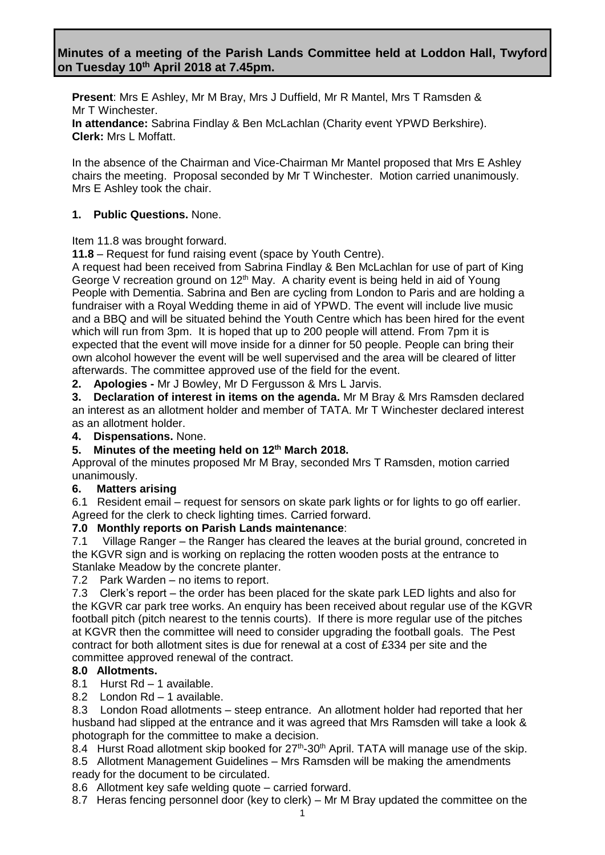**Present**: Mrs E Ashley, Mr M Bray, Mrs J Duffield, Mr R Mantel, Mrs T Ramsden & Mr T Winchester.

**In attendance:** Sabrina Findlay & Ben McLachlan (Charity event YPWD Berkshire). **Clerk:** Mrs L Moffatt.

In the absence of the Chairman and Vice-Chairman Mr Mantel proposed that Mrs E Ashley chairs the meeting. Proposal seconded by Mr T Winchester. Motion carried unanimously. Mrs E Ashley took the chair.

## **1. Public Questions.** None.

Item 11.8 was brought forward.

**11.8** – Request for fund raising event (space by Youth Centre).

A request had been received from Sabrina Findlay & Ben McLachlan for use of part of King George V recreation ground on  $12<sup>th</sup>$  May. A charity event is being held in aid of Young People with Dementia. Sabrina and Ben are cycling from London to Paris and are holding a fundraiser with a Royal Wedding theme in aid of YPWD. The event will include live music and a BBQ and will be situated behind the Youth Centre which has been hired for the event which will run from 3pm. It is hoped that up to 200 people will attend. From 7pm it is expected that the event will move inside for a dinner for 50 people. People can bring their own alcohol however the event will be well supervised and the area will be cleared of litter afterwards. The committee approved use of the field for the event.

**2. Apologies -** Mr J Bowley, Mr D Fergusson & Mrs L Jarvis.

**3. Declaration of interest in items on the agenda.** Mr M Bray & Mrs Ramsden declared an interest as an allotment holder and member of TATA. Mr T Winchester declared interest as an allotment holder.

**4. Dispensations.** None.

## **5. Minutes of the meeting held on 12 th March 2018.**

Approval of the minutes proposed Mr M Bray, seconded Mrs T Ramsden, motion carried unanimously.

## **6. Matters arising**

6.1Resident email – request for sensors on skate park lights or for lights to go off earlier. Agreed for the clerk to check lighting times. Carried forward.

## **7.0 Monthly reports on Parish Lands maintenance**:

7.1 Village Ranger – the Ranger has cleared the leaves at the burial ground, concreted in the KGVR sign and is working on replacing the rotten wooden posts at the entrance to Stanlake Meadow by the concrete planter.

7.2 Park Warden – no items to report.

7.3 Clerk's report – the order has been placed for the skate park LED lights and also for the KGVR car park tree works. An enquiry has been received about regular use of the KGVR football pitch (pitch nearest to the tennis courts). If there is more regular use of the pitches at KGVR then the committee will need to consider upgrading the football goals. The Pest contract for both allotment sites is due for renewal at a cost of £334 per site and the committee approved renewal of the contract.

# **8.0 Allotments.**

- 8.1 Hurst Rd 1 available.
- 8.2 London Rd 1 available.

8.3 London Road allotments – steep entrance. An allotment holder had reported that her husband had slipped at the entrance and it was agreed that Mrs Ramsden will take a look & photograph for the committee to make a decision.

8.4 Hurst Road allotment skip booked for 27<sup>th</sup>-30<sup>th</sup> April. TATA will manage use of the skip.

8.5 Allotment Management Guidelines – Mrs Ramsden will be making the amendments ready for the document to be circulated.

- 8.6 Allotment key safe welding quote carried forward.
- 8.7 Heras fencing personnel door (key to clerk) Mr M Bray updated the committee on the